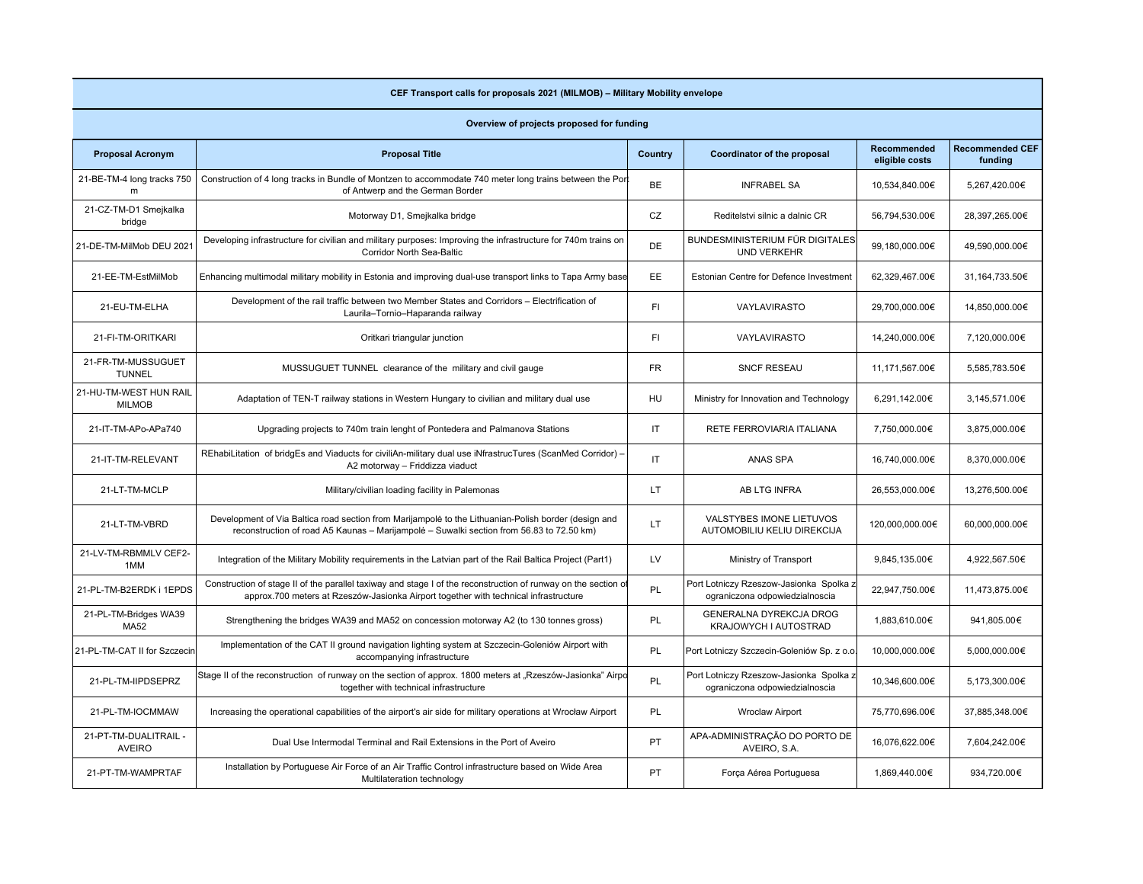| CEF Transport calls for proposals 2021 (MILMOB) - Military Mobility envelope |                                                                                                                                                                                                        |           |                                                                           |                                      |                                   |  |  |  |  |
|------------------------------------------------------------------------------|--------------------------------------------------------------------------------------------------------------------------------------------------------------------------------------------------------|-----------|---------------------------------------------------------------------------|--------------------------------------|-----------------------------------|--|--|--|--|
| Overview of projects proposed for funding                                    |                                                                                                                                                                                                        |           |                                                                           |                                      |                                   |  |  |  |  |
| <b>Proposal Acronym</b>                                                      | <b>Proposal Title</b>                                                                                                                                                                                  | Country   | Coordinator of the proposal                                               | <b>Recommended</b><br>eligible costs | <b>Recommended CEF</b><br>funding |  |  |  |  |
| 21-BE-TM-4 long tracks 750<br>m                                              | Construction of 4 long tracks in Bundle of Montzen to accommodate 740 meter long trains between the Por<br>of Antwerp and the German Border                                                            | <b>BE</b> | <b>INFRABEL SA</b>                                                        | 10,534,840.00€                       | 5,267,420.00€                     |  |  |  |  |
| 21-CZ-TM-D1 Smejkalka<br>bridge                                              | Motorway D1, Smejkalka bridge                                                                                                                                                                          | CZ        | Reditelstvi silnic a dalnic CR                                            | 56,794,530.00€                       | 28,397,265.00€                    |  |  |  |  |
| 21-DE-TM-MilMob DEU 2021                                                     | Developing infrastructure for civilian and military purposes: Improving the infrastructure for 740m trains on<br>Corridor North Sea-Baltic                                                             | DE        | BUNDESMINISTERIUM FÜR DIGITALES<br><b>UND VERKEHR</b>                     | 99,180,000.00€                       | 49,590,000.00€                    |  |  |  |  |
| 21-EE-TM-EstMilMob                                                           | Enhancing multimodal military mobility in Estonia and improving dual-use transport links to Tapa Army base                                                                                             | EE        | Estonian Centre for Defence Investment                                    | 62,329,467.00€                       | 31,164,733.50€                    |  |  |  |  |
| 21-EU-TM-ELHA                                                                | Development of the rail traffic between two Member States and Corridors - Electrification of<br>Laurila-Tornio-Haparanda railway                                                                       | FI.       | <b>VAYLAVIRASTO</b>                                                       | 29,700,000.00€                       | 14,850,000.00€                    |  |  |  |  |
| 21-FI-TM-ORITKARI                                                            | Oritkari triangular junction                                                                                                                                                                           | FI        | <b>VAYLAVIRASTO</b>                                                       | 14,240,000.00€                       | 7,120,000.00€                     |  |  |  |  |
| 21-FR-TM-MUSSUGUET<br><b>TUNNEL</b>                                          | MUSSUGUET TUNNEL clearance of the military and civil gauge                                                                                                                                             | <b>FR</b> | <b>SNCF RESEAU</b>                                                        | 11,171,567.00€                       | 5,585,783.50€                     |  |  |  |  |
| 21-HU-TM-WEST HUN RAIL<br><b>MILMOB</b>                                      | Adaptation of TEN-T railway stations in Western Hungary to civilian and military dual use                                                                                                              | HU        | Ministry for Innovation and Technology                                    | 6,291,142.00€                        | 3,145,571.00€                     |  |  |  |  |
| 21-IT-TM-APo-APa740                                                          | Upgrading projects to 740m train lenght of Pontedera and Palmanova Stations                                                                                                                            | IT        | RETE FERROVIARIA ITALIANA                                                 | 7,750,000.00€                        | 3,875,000.00€                     |  |  |  |  |
| 21-IT-TM-RELEVANT                                                            | REhabiLitation of bridgEs and Viaducts for civiliAn-military dual use iNfrastrucTures (ScanMed Corridor) -<br>A2 motorway - Friddizza viaduct                                                          | IT        | ANAS SPA                                                                  | 16,740,000.00€                       | 8,370,000.00€                     |  |  |  |  |
| 21-LT-TM-MCLP                                                                | Military/civilian loading facility in Palemonas                                                                                                                                                        | LT.       | AB LTG INFRA                                                              | 26,553,000.00€                       | 13,276,500.00€                    |  |  |  |  |
| 21-LT-TM-VBRD                                                                | Development of Via Baltica road section from Marijampole to the Lithuanian-Polish border (design and<br>reconstruction of road A5 Kaunas - Marijampolė - Suwalki section from 56.83 to 72.50 km)       | LT        | VALSTYBES IMONE LIETUVOS<br>AUTOMOBILIU KELIU DIREKCIJA                   | 120,000,000.00€                      | 60,000,000.00€                    |  |  |  |  |
| 21-LV-TM-RBMMLV CEF2-<br>1MM                                                 | Integration of the Military Mobility requirements in the Latvian part of the Rail Baltica Project (Part1)                                                                                              | LV        | Ministry of Transport                                                     | 9,845,135.00€                        | 4,922,567.50€                     |  |  |  |  |
| 21-PL-TM-B2ERDK i 1EPDS                                                      | Construction of stage II of the parallel taxiway and stage I of the reconstruction of runway on the section of<br>approx.700 meters at Rzeszów-Jasionka Airport together with technical infrastructure | <b>PL</b> | Port Lotniczy Rzeszow-Jasionka Spolka z<br>ograniczona odpowiedzialnoscia | 22,947,750.00€                       | 11,473,875.00€                    |  |  |  |  |
| 21-PL-TM-Bridges WA39<br><b>MA52</b>                                         | Strengthening the bridges WA39 and MA52 on concession motorway A2 (to 130 tonnes gross)                                                                                                                | <b>PL</b> | GENERALNA DYREKCJA DROG<br>KRAJOWYCH I AUTOSTRAD                          | 1,883,610.00€                        | 941,805.00€                       |  |  |  |  |
| 21-PL-TM-CAT II for Szczecin                                                 | Implementation of the CAT II ground navigation lighting system at Szczecin-Goleniów Airport with<br>accompanying infrastructure                                                                        | PL        | Port Lotniczy Szczecin-Goleniów Sp. z o.o                                 | 10,000,000.00€                       | 5,000,000.00€                     |  |  |  |  |
| 21-PL-TM-IIPDSEPRZ                                                           | Stage II of the reconstruction of runway on the section of approx. 1800 meters at "Rzeszów-Jasionka" Airpo<br>together with technical infrastructure                                                   | PL        | Port Lotniczy Rzeszow-Jasionka Spolka :<br>ograniczona odpowiedzialnoscia | 10,346,600.00€                       | 5,173,300.00€                     |  |  |  |  |
| 21-PL-TM-IOCMMAW                                                             | Increasing the operational capabilities of the airport's air side for military operations at Wrocław Airport                                                                                           | <b>PL</b> | <b>Wroclaw Airport</b>                                                    | 75,770,696.00€                       | 37,885,348.00€                    |  |  |  |  |
| 21-PT-TM-DUALITRAIL -<br><b>AVEIRO</b>                                       | Dual Use Intermodal Terminal and Rail Extensions in the Port of Aveiro                                                                                                                                 | PT        | APA-ADMINISTRAÇÃO DO PORTO DE<br>AVEIRO, S.A.                             | 16,076,622.00€                       | 7,604,242.00€                     |  |  |  |  |
| 21-PT-TM-WAMPRTAF                                                            | Installation by Portuguese Air Force of an Air Traffic Control infrastructure based on Wide Area<br>Multilateration technology                                                                         | PT        | Força Aérea Portuguesa                                                    | 1,869,440.00€                        | 934,720.00€                       |  |  |  |  |